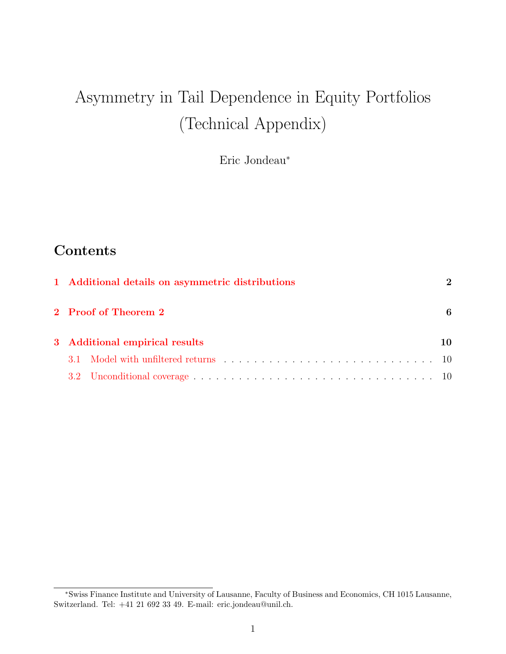# Asymmetry in Tail Dependence in Equity Portfolios (Technical Appendix)

Eric Jondeau<sup>∗</sup>

# **Contents**

| 1 Additional details on asymmetric distributions |   |  |  |  |  |  |  |
|--------------------------------------------------|---|--|--|--|--|--|--|
| 2 Proof of Theorem 2                             | 6 |  |  |  |  |  |  |
| 3 Additional empirical results                   |   |  |  |  |  |  |  |
| $31 -$                                           |   |  |  |  |  |  |  |
|                                                  |   |  |  |  |  |  |  |

<sup>∗</sup>Swiss Finance Institute and University of Lausanne, Faculty of Business and Economics, CH 1015 Lausanne, Switzerland. Tel: +41 21 692 33 49. E-mail: eric.jondeau@unil.ch.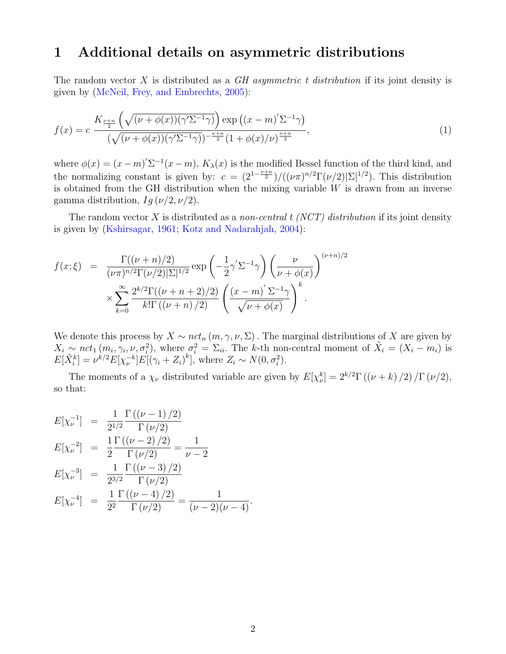### <span id="page-1-0"></span>1 Additional details on asymmetric distributions

The random vector X is distributed as a  $GH$  asymmetric t distribution if its joint density is given by [\(McNeil, Frey, and Embrechts,](#page-15-0) [2005\)](#page-15-0):

$$
f(x) = c \frac{K_{\frac{\nu+n}{2}}\left(\sqrt{(\nu+\phi(x))(\gamma'\Sigma^{-1}\gamma)}\right) \exp\left((x-m)'\Sigma^{-1}\gamma\right)}{(\sqrt{(\nu+\phi(x))(\gamma'\Sigma^{-1}\gamma)})^{-\frac{\nu+n}{2}}(1+\phi(x)/\nu)^{\frac{\nu+n}{2}}},\tag{1}
$$

where  $\phi(x) = (x - m)^{\prime} \Sigma^{-1} (x - m)$ ,  $K_{\lambda}(x)$  is the modified Bessel function of the third kind, and the normalizing constant is given by:  $c = (2^{1-\frac{\nu+n}{2}})/((\nu \pi)^{n/2} \Gamma(\nu/2)|\Sigma|^{1/2})$ . This distribution is obtained from the GH distribution when the mixing variable  $W$  is drawn from an inverse gamma distribution,  $Ig(\nu/2, \nu/2)$ .

The random vector X is distributed as a non-central  $t$  (NCT) distribution if its joint density is given by [\(Kshirsagar,](#page-15-1) [1961;](#page-15-1) [Kotz and Nadarahjah,](#page-15-2) [2004\)](#page-15-2):

$$
f(x;\xi) = \frac{\Gamma((\nu+n)/2)}{(\nu \pi)^{n/2} \Gamma(\nu/2) |\Sigma|^{1/2}} \exp\left(-\frac{1}{2}\gamma' \Sigma^{-1} \gamma\right) \left(\frac{\nu}{\nu + \phi(x)}\right)^{(\nu+n)/2} \times \sum_{k=0}^{\infty} \frac{2^{k/2} \Gamma((\nu+n+2)/2)}{k! \Gamma((\nu+n)/2)} \left(\frac{(x-m)' \Sigma^{-1} \gamma}{\sqrt{\nu + \phi(x)}}\right)^k.
$$

We denote this process by  $X \sim nct_n(m, \gamma, \nu, \Sigma)$ . The marginal distributions of X are given by  $X_i \sim nct_1(m_i, \gamma_i, \nu, \sigma_i^2)$ , where  $\sigma_i^2 = \Sigma_{ii}$ . The k-th non-central moment of  $\tilde{X}_i = (X_i - m_i)$  is  $E[\tilde{X}_{i}^{k}] = \nu^{k/2} E[\chi_{\nu}^{-k}] E[(\gamma_{i} + Z_{i})^{k}],$  where  $Z_{i} \sim N(0, \sigma_{i}^{2}).$ 

The moments of a  $\chi_{\nu}$  distributed variable are given by  $E[\chi_{\nu}^k] = 2^{k/2} \Gamma((\nu + k)/2) / \Gamma(\nu/2)$ , so that:

$$
E[\chi_{\nu}^{-1}] = \frac{1}{2^{1/2}} \frac{\Gamma((\nu - 1)/2)}{\Gamma(\nu/2)}
$$
  
\n
$$
E[\chi_{\nu}^{-2}] = \frac{1}{2} \frac{\Gamma((\nu - 2)/2)}{\Gamma(\nu/2)} = \frac{1}{\nu - 2}
$$
  
\n
$$
E[\chi_{\nu}^{-3}] = \frac{1}{2^{3/2}} \frac{\Gamma((\nu - 3)/2)}{\Gamma(\nu/2)}
$$
  
\n
$$
E[\chi_{\nu}^{-4}] = \frac{1}{2^2} \frac{\Gamma((\nu - 4)/2)}{\Gamma(\nu/2)} = \frac{1}{(\nu - 2)(\nu - 4)}.
$$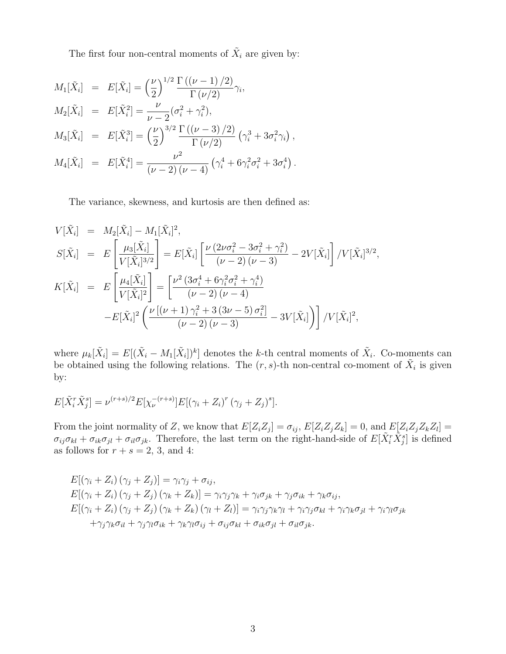The first four non-central moments of  $\tilde{X}_i$  are given by:

$$
M_1[\tilde{X}_i] = E[\tilde{X}_i] = \left(\frac{\nu}{2}\right)^{1/2} \frac{\Gamma((\nu - 1)/2)}{\Gamma(\nu/2)} \gamma_i,
$$
  
\n
$$
M_2[\tilde{X}_i] = E[\tilde{X}_i^2] = \frac{\nu}{\nu - 2} (\sigma_i^2 + \gamma_i^2),
$$
  
\n
$$
M_3[\tilde{X}_i] = E[\tilde{X}_i^3] = \left(\frac{\nu}{2}\right)^{3/2} \frac{\Gamma((\nu - 3)/2)}{\Gamma(\nu/2)} (\gamma_i^3 + 3\sigma_i^2 \gamma_i),
$$
  
\n
$$
M_4[\tilde{X}_i] = E[\tilde{X}_i^4] = \frac{\nu^2}{(\nu - 2)(\nu - 4)} (\gamma_i^4 + 6\gamma_i^2 \sigma_i^2 + 3\sigma_i^4).
$$

The variance, skewness, and kurtosis are then defined as:

$$
V[\tilde{X}_i] = M_2[\tilde{X}_i] - M_1[\tilde{X}_i]^2,
$$
  
\n
$$
S[\tilde{X}_i] = E\left[\frac{\mu_3[\tilde{X}_i]}{V[\tilde{X}_i]^{3/2}}\right] = E[\tilde{X}_i] \left[\frac{\nu(2\nu\sigma_i^2 - 3\sigma_i^2 + \gamma_i^2)}{(\nu - 2)(\nu - 3)} - 2V[\tilde{X}_i]\right] / V[\tilde{X}_i]^{3/2},
$$
  
\n
$$
K[\tilde{X}_i] = E\left[\frac{\mu_4[\tilde{X}_i]}{V[\tilde{X}_i]^2}\right] = \left[\frac{\nu^2(3\sigma_i^4 + 6\gamma_i^2\sigma_i^2 + \gamma_i^4)}{(\nu - 2)(\nu - 4)} - E[\tilde{X}_i]^2 \left(\frac{\nu[(\nu + 1)\gamma_i^2 + 3(3\nu - 5)\sigma_i^2]}{(\nu - 2)(\nu - 3)} - 3V[\tilde{X}_i]\right)\right) / V[\tilde{X}_i]^2,
$$

where  $\mu_k[\tilde{X}_i] = E[(\tilde{X}_i - M_1[\tilde{X}_i])^k]$  denotes the k-th central moments of  $\tilde{X}_i$ . Co-moments can be obtained using the following relations. The  $(r, s)$ -th non-central co-moment of  $\tilde{X}_i$  is given by:

$$
E[\tilde{X}_i^r \tilde{X}_j^s] = \nu^{(r+s)/2} E[\chi_{\nu}^{-(r+s)}] E[(\gamma_i + Z_i)^r (\gamma_j + Z_j)^s].
$$

From the joint normality of Z, we know that  $E[Z_i Z_j] = \sigma_{ij}$ ,  $E[Z_i Z_j Z_k] = 0$ , and  $E[Z_i Z_j Z_k Z_l] =$  $\sigma_{ij}\sigma_{kl} + \sigma_{ik}\sigma_{jl} + \sigma_{il}\sigma_{jk}$ . Therefore, the last term on the right-hand-side of  $E[\tilde{X}_i^r \tilde{X}_j^s]$  is defined as follows for  $r+s=2,\,3,$  and 4:

$$
E[(\gamma_i + Z_i) (\gamma_j + Z_j)] = \gamma_i \gamma_j + \sigma_{ij},
$$
  
\n
$$
E[(\gamma_i + Z_i) (\gamma_j + Z_j) (\gamma_k + Z_k)] = \gamma_i \gamma_j \gamma_k + \gamma_i \sigma_{jk} + \gamma_j \sigma_{ik} + \gamma_k \sigma_{ij},
$$
  
\n
$$
E[(\gamma_i + Z_i) (\gamma_j + Z_j) (\gamma_k + Z_k) (\gamma_l + Z_l)] = \gamma_i \gamma_j \gamma_k \gamma_l + \gamma_i \gamma_j \sigma_{kl} + \gamma_i \gamma_k \sigma_{jl} + \gamma_i \gamma_l \sigma_{jk}
$$
  
\n
$$
+ \gamma_j \gamma_k \sigma_{il} + \gamma_j \gamma_l \sigma_{ik} + \gamma_k \gamma_l \sigma_{ij} + \sigma_{ij} \sigma_{kl} + \sigma_{ik} \sigma_{jl} + \sigma_{il} \sigma_{jk}.
$$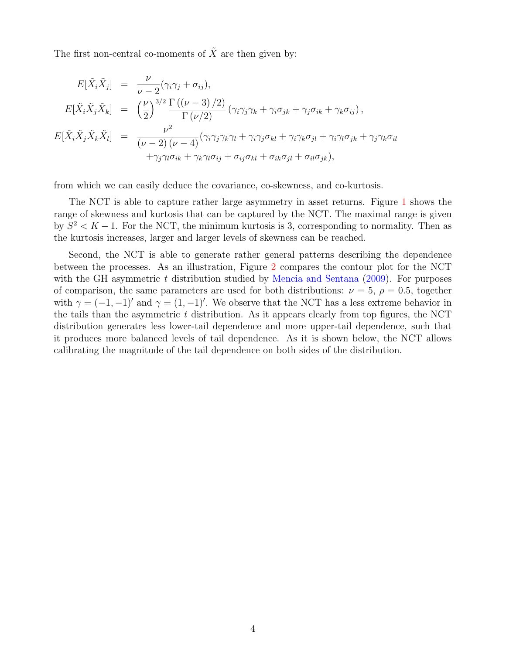The first non-central co-moments of  $\tilde{X}$  are then given by:

$$
E[\tilde{X}_i \tilde{X}_j] = \frac{\nu}{\nu - 2} (\gamma_i \gamma_j + \sigma_{ij}),
$$
  
\n
$$
E[\tilde{X}_i \tilde{X}_j \tilde{X}_k] = \left(\frac{\nu}{2}\right)^{3/2} \frac{\Gamma((\nu - 3)/2)}{\Gamma(\nu/2)} (\gamma_i \gamma_j \gamma_k + \gamma_i \sigma_{jk} + \gamma_j \sigma_{ik} + \gamma_k \sigma_{ij}),
$$
  
\n
$$
E[\tilde{X}_i \tilde{X}_j \tilde{X}_k \tilde{X}_l] = \frac{\nu^2}{(\nu - 2)(\nu - 4)} (\gamma_i \gamma_j \gamma_k \gamma_l + \gamma_i \gamma_j \sigma_{kl} + \gamma_i \gamma_k \sigma_{jl} + \gamma_i \gamma_l \sigma_{jk} + \gamma_j \gamma_k \sigma_{il} + \gamma_j \gamma_l \sigma_{ik} + \gamma_k \gamma_l \sigma_{ij} + \sigma_{ij} \sigma_{kl} + \sigma_{ik} \sigma_{jl} + \sigma_{il} \sigma_{jk}),
$$

from which we can easily deduce the covariance, co-skewness, and co-kurtosis.

The NCT is able to capture rather large asymmetry in asset returns. Figure [1](#page-4-0) shows the range of skewness and kurtosis that can be captured by the NCT. The maximal range is given by  $S^2 < K - 1$ . For the NCT, the minimum kurtosis is 3, corresponding to normality. Then as the kurtosis increases, larger and larger levels of skewness can be reached.

Second, the NCT is able to generate rather general patterns describing the dependence between the processes. As an illustration, Figure [2](#page-4-1) compares the contour plot for the NCT with the GH asymmetric  $t$  distribution studied by [Mencia and Sentana](#page-15-3) [\(2009\)](#page-15-3). For purposes of comparison, the same parameters are used for both distributions:  $\nu = 5$ ,  $\rho = 0.5$ , together with  $\gamma = (-1, -1)$  and  $\gamma = (1, -1)$ . We observe that the NCT has a less extreme behavior in the tails than the asymmetric  $t$  distribution. As it appears clearly from top figures, the NCT distribution generates less lower-tail dependence and more upper-tail dependence, such that it produces more balanced levels of tail dependence. As it is shown below, the NCT allows calibrating the magnitude of the tail dependence on both sides of the distribution.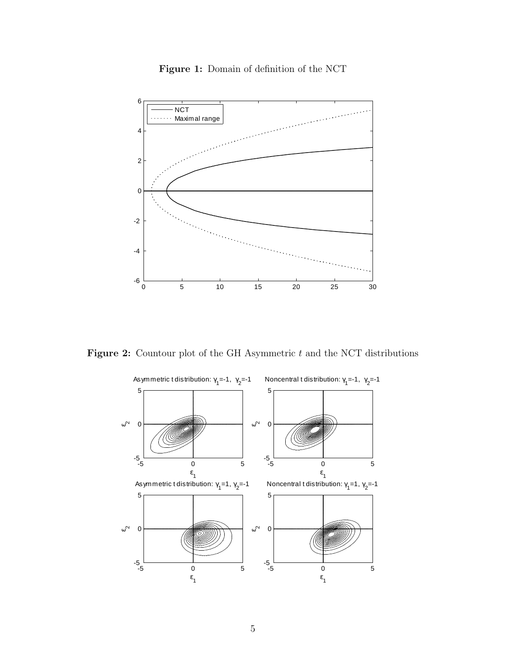<span id="page-4-0"></span>

Figure 1: Domain of definition of the NCT

<span id="page-4-1"></span>Figure 2: Countour plot of the GH Asymmetric  $t$  and the NCT distributions

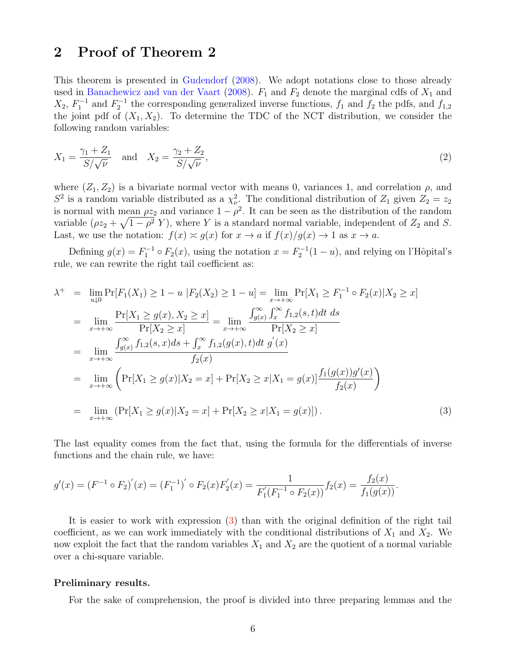# <span id="page-5-0"></span>2 Proof of Theorem 2

This theorem is presented in [Gudendorf](#page-15-4) [\(2008\)](#page-15-4). We adopt notations close to those already used in [Banachewicz and van der Vaart](#page-15-5) [\(2008\)](#page-15-5).  $F_1$  and  $F_2$  denote the marginal cdfs of  $X_1$  and  $X_2, F_1^{-1}$  and  $F_2^{-1}$  the corresponding generalized inverse functions,  $f_1$  and  $f_2$  the pdfs, and  $f_{1,2}$ the joint pdf of  $(X_1, X_2)$ . To determine the TDC of the NCT distribution, we consider the following random variables:

$$
X_1 = \frac{\gamma_1 + Z_1}{S/\sqrt{\nu}} \text{ and } X_2 = \frac{\gamma_2 + Z_2}{S/\sqrt{\nu}},
$$
 (2)

where  $(Z_1, Z_2)$  is a bivariate normal vector with means 0, variances 1, and correlation  $\rho$ , and  $S^2$  is a random variable distributed as a  $\chi^2_{\nu}$ . The conditional distribution of  $Z_1$  given  $Z_2 = z_2$ is normal with mean  $\rho z_2$  and variance  $1 - \rho^2$ . It can be seen as the distribution of the random variable  $(\rho z_2 + \sqrt{1-\rho^2} Y)$ , where Y is a standard normal variable, independent of  $Z_2$  and S. Last, we use the notation:  $f(x) \approx g(x)$  for  $x \to a$  if  $f(x)/g(x) \to 1$  as  $x \to a$ .

Defining  $g(x) = F_1^{-1} \circ F_2(x)$ , using the notation  $x = F_2^{-1}(1-u)$ , and relying on l'Hôpital's rule, we can rewrite the right tail coefficient as:

<span id="page-5-1"></span>
$$
\lambda^{+} = \lim_{u \downarrow 0} \Pr[F_{1}(X_{1}) \ge 1 - u \mid F_{2}(X_{2}) \ge 1 - u] = \lim_{x \to +\infty} \Pr[X_{1} \ge F_{1}^{-1} \circ F_{2}(x)|X_{2} \ge x]
$$
\n
$$
= \lim_{x \to +\infty} \frac{\Pr[X_{1} \ge g(x), X_{2} \ge x]}{\Pr[X_{2} \ge x]} = \lim_{x \to +\infty} \frac{\int_{g(x)}^{\infty} \int_{x}^{\infty} f_{1,2}(s,t)dt \, ds}{\Pr[X_{2} \ge x]}
$$
\n
$$
= \lim_{x \to +\infty} \frac{\int_{g(x)}^{\infty} f_{1,2}(s,x)ds + \int_{x}^{\infty} f_{1,2}(g(x),t)dt \, g'(x)}{f_{2}(x)}
$$
\n
$$
= \lim_{x \to +\infty} \left( \Pr[X_{1} \ge g(x)|X_{2} = x] + \Pr[X_{2} \ge x|X_{1} = g(x)] \frac{f_{1}(g(x))g'(x)}{f_{2}(x)} \right)
$$
\n
$$
= \lim_{x \to +\infty} (\Pr[X_{1} \ge g(x)|X_{2} = x] + \Pr[X_{2} \ge x|X_{1} = g(x)]). \tag{3}
$$

The last equality comes from the fact that, using the formula for the differentials of inverse functions and the chain rule, we have:

$$
g'(x) = (F^{-1} \circ F_2)'(x) = (F_1^{-1})' \circ F_2(x) F_2'(x) = \frac{1}{F_1'(F_1^{-1} \circ F_2(x))} f_2(x) = \frac{f_2(x)}{f_1(g(x))}.
$$

It is easier to work with expression [\(3\)](#page-5-1) than with the original definition of the right tail coefficient, as we can work immediately with the conditional distributions of  $X_1$  and  $X_2$ . We now exploit the fact that the random variables  $X_1$  and  $X_2$  are the quotient of a normal variable over a chi-square variable.

#### Preliminary results.

For the sake of comprehension, the proof is divided into three preparing lemmas and the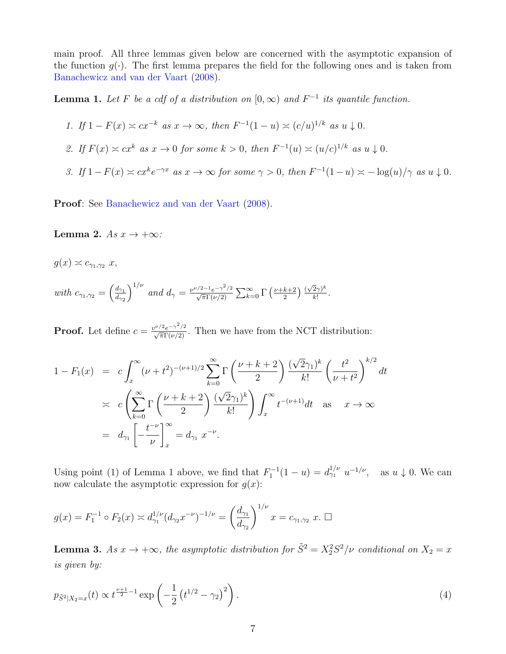main proof. All three lemmas given below are concerned with the asymptotic expansion of the function  $g(\cdot)$ . The first lemma prepares the field for the following ones and is taken from [Banachewicz and van der Vaart](#page-15-5) [\(2008\)](#page-15-5).

**Lemma 1.** Let F be a cdf of a distribution on  $[0, \infty)$  and  $F^{-1}$  its quantile function.

1. If 
$$
1 - F(x) \simeq cx^{-k}
$$
 as  $x \to \infty$ , then  $F^{-1}(1-u) \simeq (c/u)^{1/k}$  as  $u \downarrow 0$ .

- 2. If  $F(x) \simeq cx^k$  as  $x \to 0$  for some  $k > 0$ , then  $F^{-1}(u) \simeq (u/c)^{1/k}$  as  $u \downarrow 0$ .
- 3. If  $1 F(x) \asymp cx^k e^{-\gamma x}$  as  $x \to \infty$  for some  $\gamma > 0$ , then  $F^{-1}(1-u) \asymp -\log(u)/\gamma$  as  $u \downarrow 0$ .

Proof: See [Banachewicz and van der Vaart](#page-15-5) [\(2008\)](#page-15-5).

Lemma 2. As  $x \to +\infty$ :

$$
g(x) \approx c_{\gamma_1, \gamma_2} x,
$$
  
with 
$$
c_{\gamma_1, \gamma_2} = \left(\frac{d_{\gamma_1}}{d_{\gamma_2}}\right)^{1/\nu}
$$
 and 
$$
d_{\gamma} = \frac{\nu^{\nu/2 - 1} e^{-\gamma^2/2}}{\sqrt{\pi} \Gamma(\nu/2)} \sum_{k=0}^{\infty} \Gamma\left(\frac{\nu + k + 2}{2}\right) \frac{(\sqrt{2}\gamma)^k}{k!}.
$$

**Proof.** Let define  $c = \frac{v^{\nu/2}e^{-\gamma^2/2}}{\sqrt{\pi}\Gamma(\nu/2)}$ . Then we have from the NCT distribution:

$$
1 - F_1(x) = c \int_x^{\infty} (\nu + t^2)^{-(\nu+1)/2} \sum_{k=0}^{\infty} \Gamma\left(\frac{\nu + k + 2}{2}\right) \frac{(\sqrt{2}\gamma_1)^k}{k!} \left(\frac{t^2}{\nu + t^2}\right)^{k/2} dt
$$
  
\n
$$
\asymp c \left(\sum_{k=0}^{\infty} \Gamma\left(\frac{\nu + k + 2}{2}\right) \frac{(\sqrt{2}\gamma_1)^k}{k!} \right) \int_x^{\infty} t^{-(\nu+1)} dt \text{ as } x \to \infty
$$
  
\n
$$
= d_{\gamma_1} \left[ -\frac{t^{-\nu}}{\nu} \right]_x^{\infty} = d_{\gamma_1} x^{-\nu}.
$$

Using point (1) of Lemma 1 above, we find that  $F_1^{-1}(1-u) = d_{\gamma_1}^{1/\nu} u^{-1/\nu}$ , as  $u \downarrow 0$ . We can now calculate the asymptotic expression for  $g(x)$ :

$$
g(x) = F_1^{-1} \circ F_2(x) \simeq d_{\gamma_1}^{1/\nu} (d_{\gamma_2} x^{-\nu})^{-1/\nu} = \left(\frac{d_{\gamma_1}}{d_{\gamma_2}}\right)^{1/\nu} x = c_{\gamma_1, \gamma_2} x. \ \Box
$$

**Lemma 3.** As  $x \to +\infty$ , the asymptotic distribution for  $\tilde{S}^2 = X_2^2 S^2/\nu$  conditional on  $X_2 = x$ is given by:

$$
p_{\tilde{S}^2|X_2=x}(t) \propto t^{\frac{\nu+1}{2}-1} \exp\left(-\frac{1}{2} \left(t^{1/2} - \gamma_2\right)^2\right). \tag{4}
$$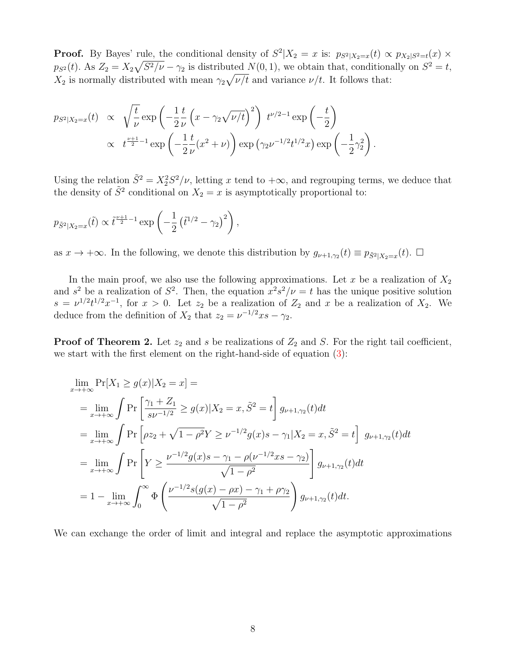**Proof.** By Bayes' rule, the conditional density of  $S^2|X_2=x$  is:  $p_{S^2|X_2=x}(t) \propto p_{X_2|S^2=t}(x)$  ×  $p_{S^2}(t)$ . As  $Z_2 = X_2 \sqrt{S^2/\nu} - \gamma_2$  is distributed  $N(0, 1)$ , we obtain that, conditionally on  $S^2 = t$ ,  $X_2$  is normally distributed with mean  $\gamma_2\sqrt{\nu/t}$  and variance  $\nu/t$ . It follows that:

$$
p_{S^2|X_2=x}(t) \propto \sqrt{\frac{t}{\nu}} \exp\left(-\frac{1}{2}\frac{t}{\nu}\left(x - \gamma_2\sqrt{\nu/t}\right)^2\right) t^{\nu/2 - 1} \exp\left(-\frac{t}{2}\right) \propto t^{\frac{\nu+1}{2} - 1} \exp\left(-\frac{1}{2}\frac{t}{\nu}(x^2 + \nu)\right) \exp\left(\gamma_2 \nu^{-1/2} t^{1/2} x\right) \exp\left(-\frac{1}{2}\gamma_2^2\right).
$$

Using the relation  $\tilde{S}^2 = X_2^2 S^2/\nu$ , letting x tend to  $+\infty$ , and regrouping terms, we deduce that the density of  $\tilde{S}^2$  conditional on  $X_2 = x$  is asymptotically proportional to:

$$
p_{\tilde{S}^2|X_2=x}(\tilde{t}) \propto \tilde{t}^{\frac{\nu+1}{2}-1} \exp\left(-\frac{1}{2} \left(\tilde{t}^{1/2} - \gamma_2\right)^2\right),
$$

as  $x \to +\infty$ . In the following, we denote this distribution by  $g_{\nu+1,\gamma_2}(t) \equiv p_{\tilde{S}^2|X_2=x}(t)$ .  $\Box$ 

In the main proof, we also use the following approximations. Let x be a realization of  $X_2$ and  $s^2$  be a realization of  $S^2$ . Then, the equation  $x^2s^2/\nu = t$  has the unique positive solution  $s = \nu^{1/2} t^{1/2} x^{-1}$ , for  $x > 0$ . Let  $z_2$  be a realization of  $Z_2$  and x be a realization of  $X_2$ . We deduce from the definition of  $X_2$  that  $z_2 = \nu^{-1/2} x s - \gamma_2$ .

**Proof of Theorem 2.** Let  $z_2$  and s be realizations of  $Z_2$  and S. For the right tail coefficient, we start with the first element on the right-hand-side of equation [\(3\)](#page-5-1):

$$
\lim_{x \to +\infty} \Pr[X_1 \ge g(x)|X_2 = x] =
$$
\n
$$
= \lim_{x \to +\infty} \int \Pr\left[\frac{\gamma_1 + Z_1}{s\nu^{-1/2}} \ge g(x)|X_2 = x, \tilde{S}^2 = t\right] g_{\nu+1,\gamma_2}(t) dt
$$
\n
$$
= \lim_{x \to +\infty} \int \Pr\left[\rho z_2 + \sqrt{1 - \rho^2} Y \ge \nu^{-1/2} g(x) s - \gamma_1 | X_2 = x, \tilde{S}^2 = t\right] g_{\nu+1,\gamma_2}(t) dt
$$
\n
$$
= \lim_{x \to +\infty} \int \Pr\left[Y \ge \frac{\nu^{-1/2} g(x) s - \gamma_1 - \rho(\nu^{-1/2} x s - \gamma_2)}{\sqrt{1 - \rho^2}}\right] g_{\nu+1,\gamma_2}(t) dt
$$
\n
$$
= 1 - \lim_{x \to +\infty} \int_0^\infty \Phi\left(\frac{\nu^{-1/2} s(g(x) - \rho x) - \gamma_1 + \rho \gamma_2}{\sqrt{1 - \rho^2}}\right) g_{\nu+1,\gamma_2}(t) dt.
$$

We can exchange the order of limit and integral and replace the asymptotic approximations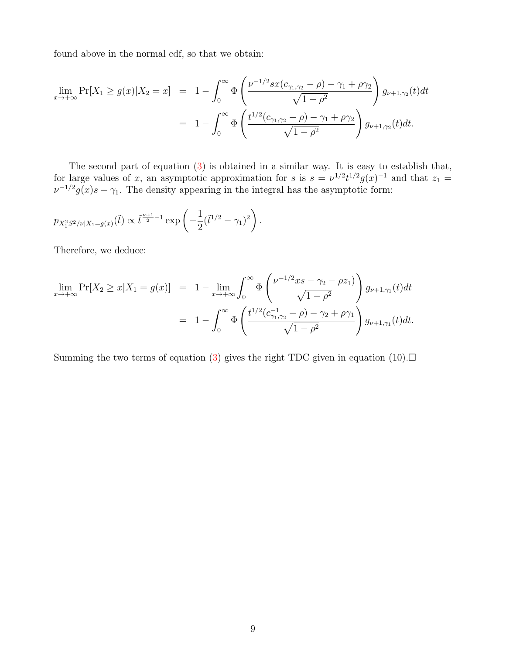found above in the normal cdf, so that we obtain:

$$
\lim_{x \to +\infty} \Pr[X_1 \ge g(x) | X_2 = x] = 1 - \int_0^\infty \Phi\left(\frac{\nu^{-1/2} s x (c_{\gamma_1, \gamma_2} - \rho) - \gamma_1 + \rho \gamma_2}{\sqrt{1 - \rho^2}}\right) g_{\nu+1, \gamma_2}(t) dt
$$

$$
= 1 - \int_0^\infty \Phi\left(\frac{t^{1/2} (c_{\gamma_1, \gamma_2} - \rho) - \gamma_1 + \rho \gamma_2}{\sqrt{1 - \rho^2}}\right) g_{\nu+1, \gamma_2}(t) dt.
$$

The second part of equation [\(3\)](#page-5-1) is obtained in a similar way. It is easy to establish that, for large values of x, an asymptotic approximation for s is  $s = \nu^{1/2} t^{1/2} g(x)^{-1}$  and that  $z_1 =$  $\nu^{-1/2} g(x) s - \gamma_1$ . The density appearing in the integral has the asymptotic form:

$$
p_{X_1^2 S^2/\nu | X_1 = g(x)}(\tilde{t}) \propto \tilde{t}^{\frac{\nu+1}{2}-1} \exp\left(-\frac{1}{2}(\tilde{t}^{1/2} - \gamma_1)^2\right).
$$

Therefore, we deduce:

$$
\lim_{x \to +\infty} \Pr[X_2 \ge x | X_1 = g(x)] = 1 - \lim_{x \to +\infty} \int_0^{\infty} \Phi\left(\frac{\nu^{-1/2} x s - \gamma_2 - \rho z_1}{\sqrt{1 - \rho^2}}\right) g_{\nu+1,\gamma_1}(t) dt
$$

$$
= 1 - \int_0^{\infty} \Phi\left(\frac{t^{1/2} (c_{\gamma_1,\gamma_2}^{-1} - \rho) - \gamma_2 + \rho \gamma_1}{\sqrt{1 - \rho^2}}\right) g_{\nu+1,\gamma_1}(t) dt.
$$

Summing the two terms of equation [\(3\)](#page-5-1) gives the right TDC given in equation (10).  $\Box$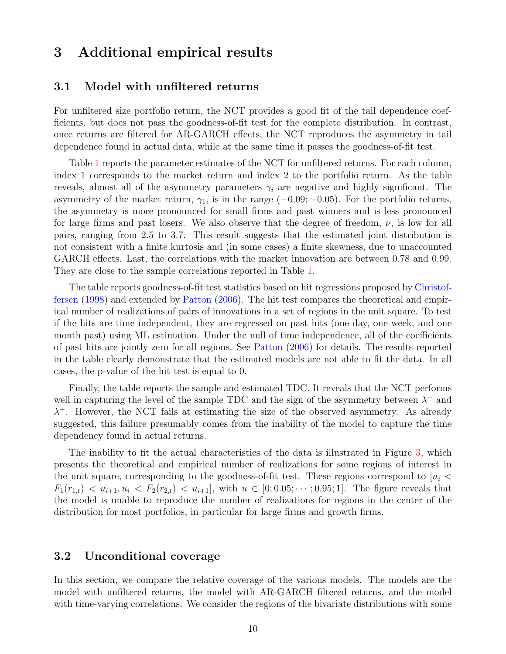# <span id="page-9-0"></span>3 Additional empirical results

#### <span id="page-9-1"></span>3.1 Model with unfiltered returns

For unfiltered size portfolio return, the NCT provides a good fit of the tail dependence coefficients, but does not pass the goodness-of-fit test for the complete distribution. In contrast, once returns are filtered for AR-GARCH effects, the NCT reproduces the asymmetry in tail dependence found in actual data, while at the same time it passes the goodness-of-fit test.

Table [1](#page-10-0) reports the parameter estimates of the NCT for unfiltered returns. For each column, index 1 corresponds to the market return and index 2 to the portfolio return. As the table reveals, almost all of the asymmetry parameters  $\gamma_i$  are negative and highly significant. The asymmetry of the market return,  $\gamma_1$ , is in the range  $(-0.09, -0.05)$ . For the portfolio returns, the asymmetry is more pronounced for small firms and past winners and is less pronounced for large firms and past losers. We also observe that the degree of freedom,  $\nu$ , is low for all pairs, ranging from 2.5 to 3.7. This result suggests that the estimated joint distribution is not consistent with a finite kurtosis and (in some cases) a finite skewness, due to unaccounted GARCH effects. Last, the correlations with the market innovation are between 0.78 and 0.99. They are close to the sample correlations reported in Table [1.](#page-10-0)

The table reports goodness-of-fit test statistics based on hit regressions proposed by [Christof](#page-15-6)[fersen](#page-15-6) [\(1998\)](#page-15-6) and extended by [Patton](#page-15-7) [\(2006\)](#page-15-7). The hit test compares the theoretical and empirical number of realizations of pairs of innovations in a set of regions in the unit square. To test if the hits are time independent, they are regressed on past hits (one day, one week, and one month past) using ML estimation. Under the null of time independence, all of the coefficients of past hits are jointly zero for all regions. See [Patton](#page-15-7) [\(2006\)](#page-15-7) for details. The results reported in the table clearly demonstrate that the estimated models are not able to fit the data. In all cases, the p-value of the hit test is equal to 0.

Finally, the table reports the sample and estimated TDC. It reveals that the NCT performs well in capturing the level of the sample TDC and the sign of the asymmetry between  $\lambda^-$  and  $\lambda^+$ . However, the NCT fails at estimating the size of the observed asymmetry. As already suggested, this failure presumably comes from the inability of the model to capture the time dependency found in actual returns.

The inability to fit the actual characteristics of the data is illustrated in Figure [3,](#page-11-0) which presents the theoretical and empirical number of realizations for some regions of interest in the unit square, corresponding to the goodness-of-fit test. These regions correspond to  $u_i$  $F_1(r_{1,t}) < u_{i+1}, u_i < F_2(r_{2,t}) < u_{i+1}$ , with  $u \in [0; 0.05; \dots; 0.95; 1]$ . The figure reveals that the model is unable to reproduce the number of realizations for regions in the center of the distribution for most portfolios, in particular for large firms and growth firms.

#### <span id="page-9-2"></span>3.2 Unconditional coverage

In this section, we compare the relative coverage of the various models. The models are the model with unfiltered returns, the model with AR-GARCH filtered returns, and the model with time-varying correlations. We consider the regions of the bivariate distributions with some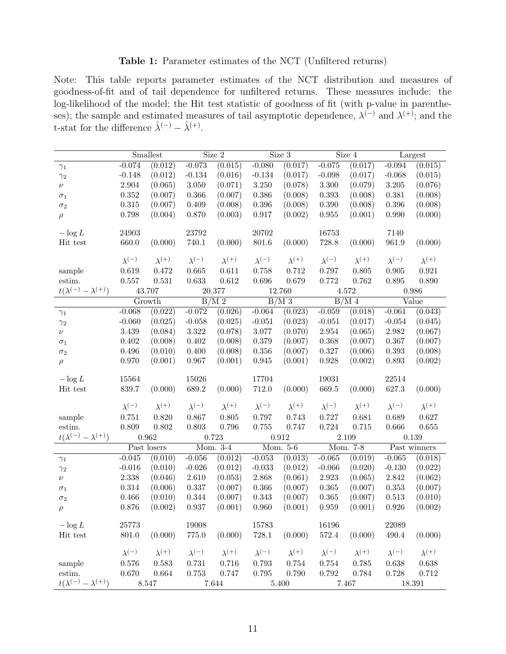#### Table 1: Parameter estimates of the NCT (Unfiltered returns)

<span id="page-10-0"></span>Note: This table reports parameter estimates of the NCT distribution and measures of goodness-of-fit and of tail dependence for unfiltered returns. These measures include: the log-likelihood of the model; the Hit test statistic of goodness of fit (with p-value in parentheses); the sample and estimated measures of tail asymptotic dependence,  $\lambda^{(-)}$  and  $\lambda^{(+)}$ ; and the t-stat for the difference  $\hat{\lambda}^{(-)} - \hat{\lambda}^{(+)}$ .

|                                    | Smallest          |                    | Size 2            |                    | $\overline{\text{Size}}$ 3 |                    | $\overline{\text{Size}}$ 4 |                    | Largest           |                    |
|------------------------------------|-------------------|--------------------|-------------------|--------------------|----------------------------|--------------------|----------------------------|--------------------|-------------------|--------------------|
| $\gamma_1$                         | $-0.074$          | (0.012)            | $-0.073$          | (0.015)            | $-0.080$                   | (0.017)            | $-0.075$                   | (0.017)            | $-0.094$          | (0.015)            |
| $\gamma_2$                         | $-0.148$          | (0.012)            | $-0.134$          | (0.016)            | $-0.134$                   | (0.017)            | $-0.098$                   | (0.017)            | $-0.068$          | (0.015)            |
| $\nu$                              | 2.904             | (0.065)            | $3.050\,$         | (0.071)            | $3.250\,$                  | (0.078)            | $3.300\,$                  | (0.079)            | $3.205\,$         | (0.076)            |
| $\sigma_1$                         | 0.352             | (0.007)            | 0.366             | (0.007)            | $0.386\,$                  | (0.008)            | $0.393\,$                  | (0.008)            | 0.381             | (0.008)            |
| $\sigma_2$                         | $0.315\,$         | (0.007)            | 0.409             | (0.008)            | $0.396\,$                  | (0.008)            | $0.390\,$                  | (0.008)            | 0.396             | (0.008)            |
| $\rho$                             | 0.798             | (0.004)            | 0.870             | (0.003)            | $0.917\,$                  | (0.002)            | $\,0.955\,$                | (0.001)            | 0.990             | (0.000)            |
| $-\log L$                          | 24903             |                    | 23792             |                    | 20702                      |                    | 16753                      |                    | 7140              |                    |
| Hit test                           | 660.0             | (0.000)            | $740.1\,$         | (0.000)            | $801.6\,$                  | (0.000)            | $728.8\,$                  | (0.000)            | 961.9             | (0.000)            |
|                                    |                   |                    |                   |                    |                            |                    |                            |                    |                   |                    |
|                                    | $\lambda^{(-)}$   | $\lambda^{(+)}$    | $\lambda^{(-)}$   | $\lambda^{(+)}$    | $\lambda^{(-)}$            | $\lambda^{(+)}$    | $\lambda^{(-)}$            | $\lambda^{(+)}$    | $\lambda^{(-)}$   | $\lambda^{(+)}$    |
| sample                             | 0.619             | 0.472              | 0.665             | 0.611              | 0.758                      | 0.712              | 0.797                      | $0.805\,$          | 0.905             | 0.921              |
| estim.                             | 0.557             | 0.531              | 0.633             | 0.612              | 0.696                      | 0.679              | 0.772                      | 0.762              | $0.895\,$         | 0.890              |
| $t(\lambda^{(-)} - \lambda^{(+)})$ | 43.707            |                    | 20.377            |                    | 12.760                     |                    | 4.572                      |                    | 0.986             |                    |
|                                    | Growth            |                    | B/M <sub>2</sub>  |                    | B/M3                       |                    | $\overline{B/M}$ 4         |                    | Value             |                    |
| $\gamma_1$                         | $-0.068$          | (0.022)            | $-0.072$          | (0.026)            | $-0.064$                   | (0.023)            | $-0.059$                   | (0.018)            | $-0.061$          | (0.043)            |
| $\gamma_2$                         | $-0.060$          | (0.025)            | $-0.058$          | (0.025)            | $-0.051$                   | (0.023)            | $-0.051$                   | (0.017)            | $-0.054$          | (0.045)            |
| $\nu$                              | $3.439\,$         | (0.084)            | $3.322\,$         | (0.078)            | 3.077                      | (0.070)            | $\phantom{-}2.954$         | (0.065)            | $2.982\,$         | (0.067)            |
| $\sigma_1$                         | $0.402\,$         | (0.008)            | $0.402\,$         | (0.008)            | 0.379                      | (0.007)            | $0.368\,$                  | (0.007)            | $0.367\,$         | (0.007)            |
| $\sigma_2$                         | 0.496             | (0.010)            | 0.400             | (0.008)            | 0.356                      | (0.007)            | $0.327\,$                  | (0.006)            | 0.393             | (0.008)            |
| $\rho$                             | 0.970             | (0.001)            | 0.967             | (0.001)            | 0.945                      | (0.001)            | 0.928                      | (0.002)            | 0.893             | (0.002)            |
| $-\log L$                          | 15564             |                    | 15026             |                    | 17704                      |                    | 19031                      |                    | 22514             |                    |
| Hit test                           | $839.7\,$         | (0.000)            | 689.2             | (0.000)            | 712.0                      | (0.000)            | $669.5\,$                  | (0.000)            | 627.3             | (0.000)            |
|                                    |                   |                    |                   |                    |                            |                    |                            |                    |                   |                    |
|                                    | $\lambda^{(-)}$   | $\lambda^{(+)}$    | $\lambda^{(-)}$   | $\lambda^{(+)}$    | $\lambda^{(-)}$            | $\lambda^{(+)}$    | $\lambda^{(-)}$            | $\lambda^{(+)}$    | $\lambda^{(-)}$   | $\lambda^{(+)}$    |
| sample                             | 0.751             | 0.820              | 0.867             | 0.805              | 0.797                      | 0.743              | 0.727                      | 0.681              | 0.689             | 0.627              |
| estim.                             | 0.809             | 0.802              | 0.803             | 0.796              | 0.755                      | 0.747              | 0.724                      | 0.715              | 0.666             | 0.655              |
| $t(\lambda^{(-)} - \lambda^{(+)})$ | 0.962             |                    | 0.723             |                    | 0.912                      |                    | $2.109\,$                  |                    | 0.139             |                    |
|                                    | Past losers       |                    | Mom. 3-4          |                    | Mom. 5-6                   |                    | Mom. 7-8                   |                    | Past winners      |                    |
| $\gamma_1$                         | $-0.045$          | (0.010)            | $-0.056$          | (0.012)            | $-0.053$                   | (0.013)            | $-0.065$                   | (0.019)            | $-0.065$          | (0.018)            |
| $\gamma_2$                         | $-0.016$<br>2.338 | (0.010)<br>(0.046) | $-0.026$<br>2.610 | (0.012)            | $-0.033$<br>$2.868\,$      | (0.012)            | $-0.066$<br>2.923          | (0.020)            | $-0.130$<br>2.842 | (0.022)            |
| $\nu$                              | 0.314             | (0.006)            | $0.337\,$         | (0.053)<br>(0.007) | $0.366\,$                  | (0.061)<br>(0.007) | $\,0.365\,$                | (0.065)<br>(0.007) | $\,0.353\,$       | (0.062)<br>(0.007) |
| $\sigma_1$                         | 0.466             | (0.010)            | $\!.344$          | (0.007)            | 0.343                      | (0.007)            | $\,0.365\,$                | (0.007)            | 0.513             | (0.010)            |
| $\sigma_2$                         | 0.876             | (0.002)            | 0.937             | (0.001)            | 0.960                      | (0.001)            | 0.959                      | (0.001)            | 0.926             | (0.002)            |
| $\rho$                             |                   |                    |                   |                    |                            |                    |                            |                    |                   |                    |
| $-\log L$                          | 25773             |                    | 19008             |                    | $15783\,$                  |                    | 16196                      |                    | 22089             |                    |
| Hit test                           | $801.0\,$         | (0.000)            | $775.0\,$         | (0.000)            | 728.1                      | (0.000)            | $572.4\,$                  | (0.000)            | 490.4             | (0.000)            |
|                                    | $\lambda^{(-)}$   | $\lambda^{(+)}$    | $\lambda^{(-)}$   | $\lambda^{(+)}$    | $\lambda^{(-)}$            | $\lambda^{(+)}$    | $\lambda^{(-)}$            | $\lambda^{(+)}$    | $\lambda^{(-)}$   | $\lambda^{(+)}$    |
| sample                             | 0.576             | 0.583              | 0.731             | 0.716              | 0.793                      | 0.754              | 0.754                      | 0.785              | 0.638             | 0.638              |
| estim.                             | 0.670             | $\,0.664\,$        | 0.753             | 0.747              | $0.795\,$                  | 0.790              | $0.792\,$                  | 0.784              | 0.728             | 0.712              |
| $t(\lambda^{(-)} - \lambda^{(+)})$ |                   | 8.547              |                   | 7.644              |                            | 5.400              |                            | 7.467              |                   | 18.391             |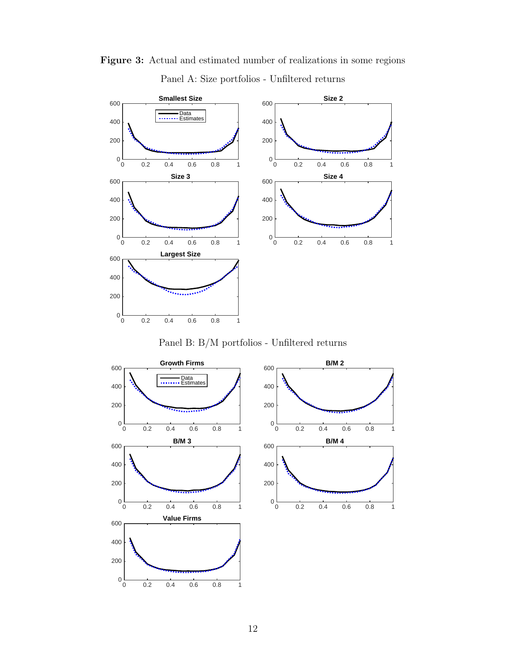

<span id="page-11-0"></span>Figure 3: Actual and estimated number of realizations in some regions Panel A: Size portfolios - Unfiltered returns

Panel B: B/M portfolios - Unfiltered returns

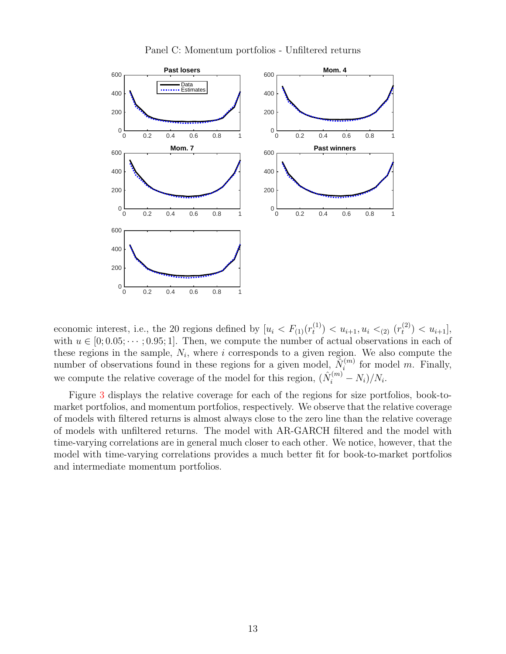

Panel C: Momentum portfolios - Unfiltered returns

economic interest, i.e., the 20 regions defined by  $[u_i < F_{(1)}(r_t^{(1)})]$  $\binom{1}{t}$  <  $u_{i+1}, u_i$  <  $\lt_{(2)}$   $(r_t^{(2)})$  $\binom{2}{t}$  <  $u_{i+1}$ , with  $u \in [0; 0.05; \dots; 0.95; 1]$ . Then, we compute the number of actual observations in each of these regions in the sample,  $N_i$ , where i corresponds to a given region. We also compute the number of observations found in these regions for a given model,  $\tilde{N}_i^{(m)}$  $i^{(m)}$  for model m. Finally, we compute the relative coverage of the model for this region,  $(\hat{N}_i^{(m)} - N_i)/N_i$ .

Figure [3](#page-13-0) displays the relative coverage for each of the regions for size portfolios, book-tomarket portfolios, and momentum portfolios, respectively. We observe that the relative coverage of models with filtered returns is almost always close to the zero line than the relative coverage of models with unfiltered returns. The model with AR-GARCH filtered and the model with time-varying correlations are in general much closer to each other. We notice, however, that the model with time-varying correlations provides a much better fit for book-to-market portfolios and intermediate momentum portfolios.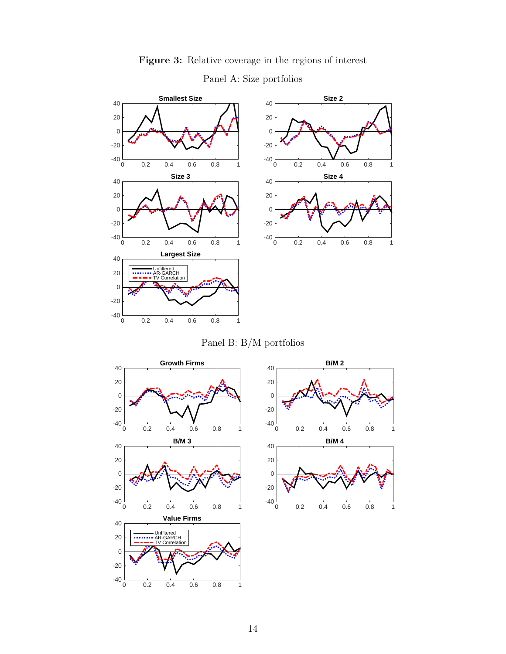<span id="page-13-0"></span>

### Figure 3: Relative coverage in the regions of interest

Panel A: Size portfolios





0 0.2 0.4 0.6 0.8 1

 $-40\frac{L}{0}$ -20

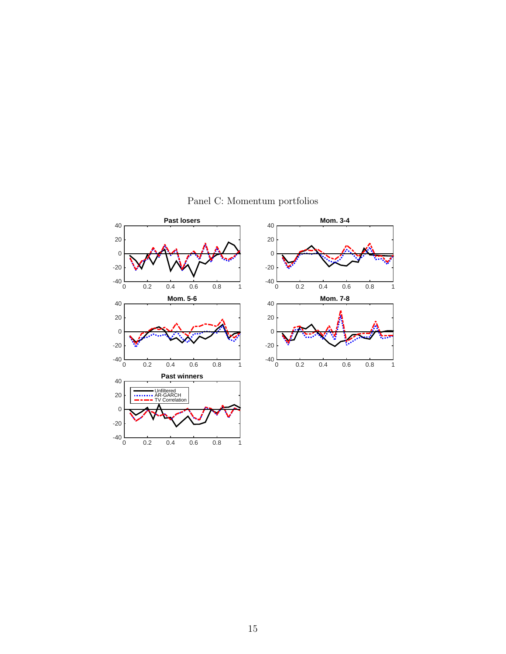

Panel C: Momentum portfolios